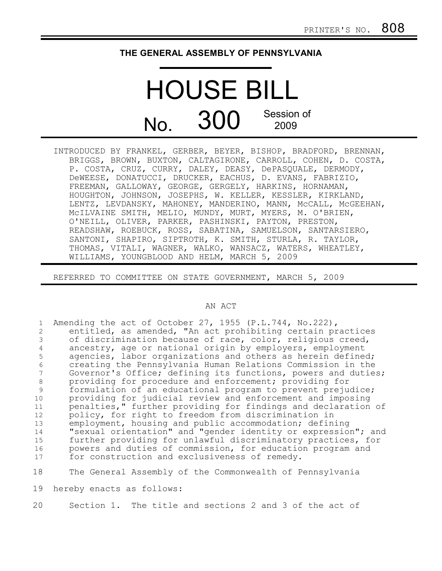## **THE GENERAL ASSEMBLY OF PENNSYLVANIA**

## HOUSE BILL No. 300 Session of 2009

INTRODUCED BY FRANKEL, GERBER, BEYER, BISHOP, BRADFORD, BRENNAN, BRIGGS, BROWN, BUXTON, CALTAGIRONE, CARROLL, COHEN, D. COSTA, P. COSTA, CRUZ, CURRY, DALEY, DEASY, DePASQUALE, DERMODY, DeWEESE, DONATUCCI, DRUCKER, EACHUS, D. EVANS, FABRIZIO, FREEMAN, GALLOWAY, GEORGE, GERGELY, HARKINS, HORNAMAN, HOUGHTON, JOHNSON, JOSEPHS, W. KELLER, KESSLER, KIRKLAND, LENTZ, LEVDANSKY, MAHONEY, MANDERINO, MANN, MCCALL, MCGEEHAN, McILVAINE SMITH, MELIO, MUNDY, MURT, MYERS, M. O'BRIEN, O'NEILL, OLIVER, PARKER, PASHINSKI, PAYTON, PRESTON, READSHAW, ROEBUCK, ROSS, SABATINA, SAMUELSON, SANTARSIERO, SANTONI, SHAPIRO, SIPTROTH, K. SMITH, STURLA, R. TAYLOR, THOMAS, VITALI, WAGNER, WALKO, WANSACZ, WATERS, WHEATLEY, WILLIAMS, YOUNGBLOOD AND HELM, MARCH 5, 2009

REFERRED TO COMMITTEE ON STATE GOVERNMENT, MARCH 5, 2009

## AN ACT

| $\mathbf{1}$<br>2<br>3<br>4<br>5<br>6<br>8<br>9<br>10<br>11<br>12<br>13<br>14<br>15 | Amending the act of October 27, 1955 (P.L.744, No.222),<br>entitled, as amended, "An act prohibiting certain practices<br>of discrimination because of race, color, religious creed,<br>ancestry, age or national origin by employers, employment<br>agencies, labor organizations and others as herein defined;<br>creating the Pennsylvania Human Relations Commission in the<br>Governor's Office; defining its functions, powers and duties;<br>providing for procedure and enforcement; providing for<br>formulation of an educational program to prevent prejudice;<br>providing for judicial review and enforcement and imposing<br>penalties," further providing for findings and declaration of<br>policy, for right to freedom from discrimination in<br>employment, housing and public accommodation; defining<br>"sexual orientation" and "gender identity or expression"; and<br>further providing for unlawful discriminatory practices, for |
|-------------------------------------------------------------------------------------|------------------------------------------------------------------------------------------------------------------------------------------------------------------------------------------------------------------------------------------------------------------------------------------------------------------------------------------------------------------------------------------------------------------------------------------------------------------------------------------------------------------------------------------------------------------------------------------------------------------------------------------------------------------------------------------------------------------------------------------------------------------------------------------------------------------------------------------------------------------------------------------------------------------------------------------------------------|
| 16                                                                                  | powers and duties of commission, for education program and                                                                                                                                                                                                                                                                                                                                                                                                                                                                                                                                                                                                                                                                                                                                                                                                                                                                                                 |
| 17                                                                                  | for construction and exclusiveness of remedy.                                                                                                                                                                                                                                                                                                                                                                                                                                                                                                                                                                                                                                                                                                                                                                                                                                                                                                              |
| 18                                                                                  | The General Assembly of the Commonwealth of Pennsylvania                                                                                                                                                                                                                                                                                                                                                                                                                                                                                                                                                                                                                                                                                                                                                                                                                                                                                                   |
| 19                                                                                  | hereby enacts as follows:                                                                                                                                                                                                                                                                                                                                                                                                                                                                                                                                                                                                                                                                                                                                                                                                                                                                                                                                  |
|                                                                                     |                                                                                                                                                                                                                                                                                                                                                                                                                                                                                                                                                                                                                                                                                                                                                                                                                                                                                                                                                            |

Section 1. The title and sections 2 and 3 of the act of 20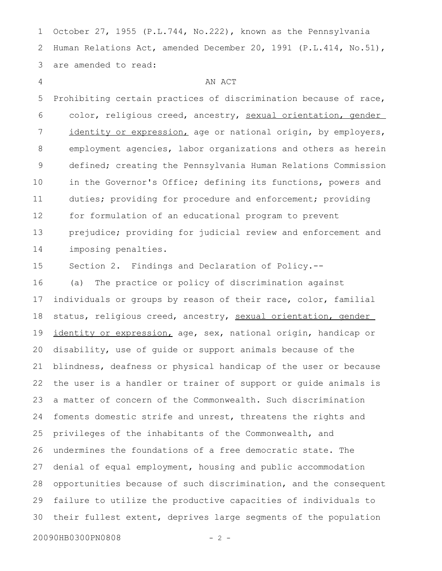October 27, 1955 (P.L.744, No.222), known as the Pennsylvania Human Relations Act, amended December 20, 1991 (P.L.414, No.51), are amended to read: 1 2 3

4

## AN ACT

Prohibiting certain practices of discrimination because of race, color, religious creed, ancestry, sexual orientation, gender identity or expression, age or national origin, by employers, employment agencies, labor organizations and others as herein defined; creating the Pennsylvania Human Relations Commission in the Governor's Office; defining its functions, powers and duties; providing for procedure and enforcement; providing for formulation of an educational program to prevent prejudice; providing for judicial review and enforcement and imposing penalties. 5 6 7 8 9 10 11 12 13 14

Section 2. Findings and Declaration of Policy.-- 15

(a) The practice or policy of discrimination against individuals or groups by reason of their race, color, familial status, religious creed, ancestry, sexual orientation, gender identity or expression, age, sex, national origin, handicap or disability, use of guide or support animals because of the blindness, deafness or physical handicap of the user or because the user is a handler or trainer of support or guide animals is a matter of concern of the Commonwealth. Such discrimination foments domestic strife and unrest, threatens the rights and privileges of the inhabitants of the Commonwealth, and undermines the foundations of a free democratic state. The denial of equal employment, housing and public accommodation opportunities because of such discrimination, and the consequent failure to utilize the productive capacities of individuals to their fullest extent, deprives large segments of the population 16 17 18 19 20 21 22 23 24 25 26 27 28 29 30

20090HB0300PN0808 - 2 -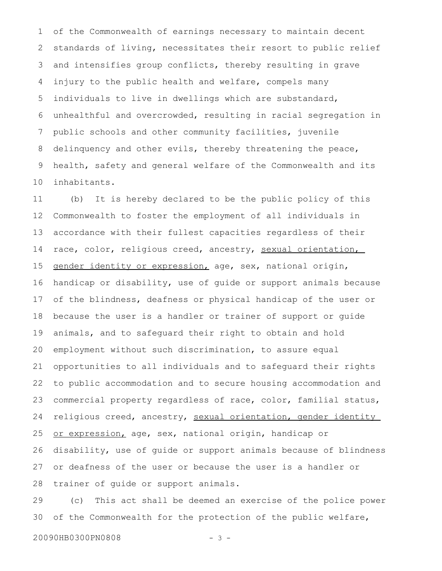of the Commonwealth of earnings necessary to maintain decent standards of living, necessitates their resort to public relief and intensifies group conflicts, thereby resulting in grave injury to the public health and welfare, compels many individuals to live in dwellings which are substandard, unhealthful and overcrowded, resulting in racial segregation in public schools and other community facilities, juvenile delinquency and other evils, thereby threatening the peace, health, safety and general welfare of the Commonwealth and its inhabitants. 1 2 3 4 5 6 7 8 9 10

(b) It is hereby declared to be the public policy of this Commonwealth to foster the employment of all individuals in accordance with their fullest capacities regardless of their race, color, religious creed, ancestry, sexual orientation, gender identity or expression, age, sex, national origin, handicap or disability, use of guide or support animals because of the blindness, deafness or physical handicap of the user or because the user is a handler or trainer of support or guide animals, and to safeguard their right to obtain and hold employment without such discrimination, to assure equal opportunities to all individuals and to safeguard their rights to public accommodation and to secure housing accommodation and commercial property regardless of race, color, familial status, religious creed, ancestry, sexual orientation, gender identity or expression, age, sex, national origin, handicap or disability, use of guide or support animals because of blindness or deafness of the user or because the user is a handler or trainer of guide or support animals. 11 12 13 14 15 16 17 18 19 20 21 22 23 24 25 26 27 28

(c) This act shall be deemed an exercise of the police power of the Commonwealth for the protection of the public welfare, 29 30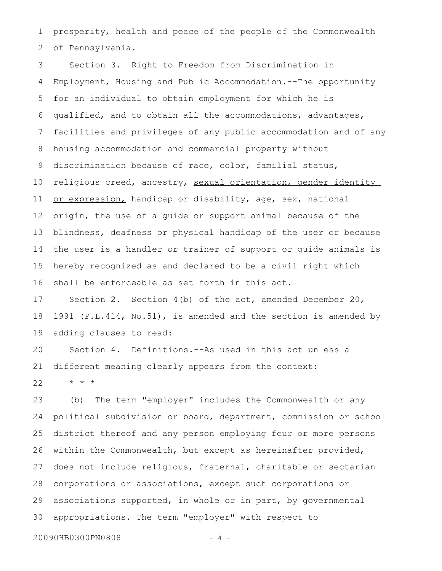prosperity, health and peace of the people of the Commonwealth of Pennsylvania. 1 2

Section 3. Right to Freedom from Discrimination in Employment, Housing and Public Accommodation.--The opportunity for an individual to obtain employment for which he is qualified, and to obtain all the accommodations, advantages, facilities and privileges of any public accommodation and of any housing accommodation and commercial property without discrimination because of race, color, familial status, religious creed, ancestry, sexual orientation, gender identity or expression, handicap or disability, age, sex, national origin, the use of a guide or support animal because of the blindness, deafness or physical handicap of the user or because the user is a handler or trainer of support or guide animals is hereby recognized as and declared to be a civil right which shall be enforceable as set forth in this act. 3 4 5 6 7 8 9 10 11 12 13 14 15 16

Section 2. Section 4(b) of the act, amended December 20, 1991 (P.L.414, No.51), is amended and the section is amended by adding clauses to read: 17 18 19

Section 4. Definitions.--As used in this act unless a different meaning clearly appears from the context: 20 21

\* \* \* 22

(b) The term "employer" includes the Commonwealth or any political subdivision or board, department, commission or school district thereof and any person employing four or more persons within the Commonwealth, but except as hereinafter provided, does not include religious, fraternal, charitable or sectarian corporations or associations, except such corporations or associations supported, in whole or in part, by governmental appropriations. The term "employer" with respect to 23 24 25 26 27 28 29 30

20090HB0300PN0808 - 4 -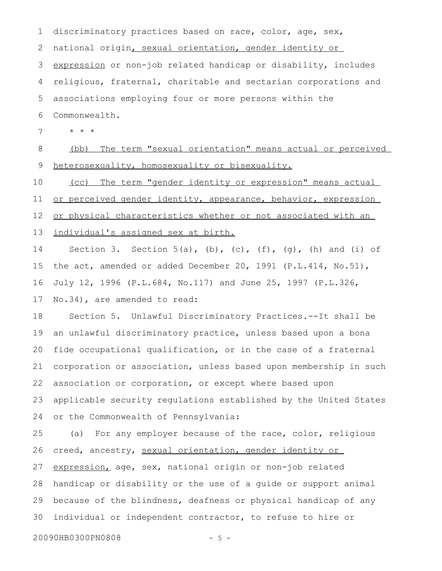discriminatory practices based on race, color, age, sex, national origin, sexual orientation, gender identity or expression or non-job related handicap or disability, includes religious, fraternal, charitable and sectarian corporations and associations employing four or more persons within the Commonwealth. \* \* \* (bb) The term " sexual orientation" means actual or perceived heterosexuality, homosexuality or bisexuality. (cc) The term " gender identity or expression" means actual or perceived gender identity, appearance, behavior, expression or physical characteristics whether or not associated with an individual's assigned sex at birth. Section 3. Section  $5(a)$ , (b), (c), (f), (g), (h) and (i) of the act, amended or added December 20, 1991 (P.L.414, No.51), July 12, 1996 (P.L.684, No.117) and June 25, 1997 (P.L.326, No.34), are amended to read: Section 5. Unlawful Discriminatory Practices.--It shall be 1 2 3 4 5 6 7 8 9 10 11 12 13 14 15 16 17 18

an unlawful discriminatory practice, unless based upon a bona fide occupational qualification, or in the case of a fraternal corporation or association, unless based upon membership in such association or corporation, or except where based upon applicable security regulations established by the United States or the Commonwealth of Pennsylvania: 19 20 21 22 23 24

(a) For any employer because of the race, color, religious creed, ancestry, sexual orientation, gender identity or expression, age, sex, national origin or non-job related handicap or disability or the use of a guide or support animal because of the blindness, deafness or physical handicap of any individual or independent contractor, to refuse to hire or 25 26 27 28 29 30

20090HB0300PN0808 - 5 -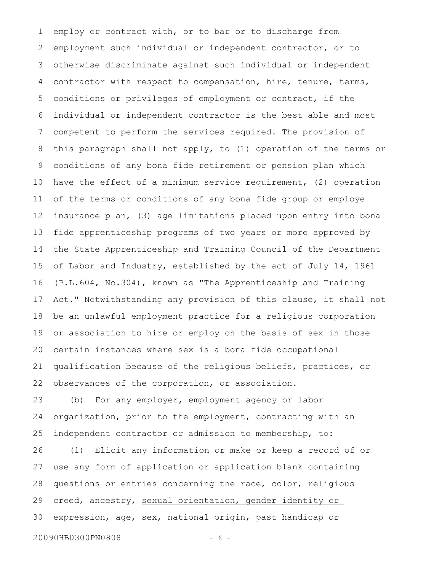employ or contract with, or to bar or to discharge from employment such individual or independent contractor, or to otherwise discriminate against such individual or independent contractor with respect to compensation, hire, tenure, terms, conditions or privileges of employment or contract, if the individual or independent contractor is the best able and most competent to perform the services required. The provision of this paragraph shall not apply, to (1) operation of the terms or conditions of any bona fide retirement or pension plan which have the effect of a minimum service requirement, (2) operation of the terms or conditions of any bona fide group or employe insurance plan, (3) age limitations placed upon entry into bona fide apprenticeship programs of two years or more approved by the State Apprenticeship and Training Council of the Department of Labor and Industry, established by the act of July 14, 1961 (P.L.604, No.304), known as "The Apprenticeship and Training Act." Notwithstanding any provision of this clause, it shall not be an unlawful employment practice for a religious corporation or association to hire or employ on the basis of sex in those certain instances where sex is a bona fide occupational qualification because of the religious beliefs, practices, or observances of the corporation, or association. 1 2 3 4 5 6 7 8 9 10 11 12 13 14 15 16 17 18 19 20 21 22

(b) For any employer, employment agency or labor organization, prior to the employment, contracting with an independent contractor or admission to membership, to: 23 24 25

(1) Elicit any information or make or keep a record of or use any form of application or application blank containing questions or entries concerning the race, color, religious creed, ancestry, sexual orientation, gender identity or expression, age, sex, national origin, past handicap or 26 27 28 29 30

20090HB0300PN0808 - 6 -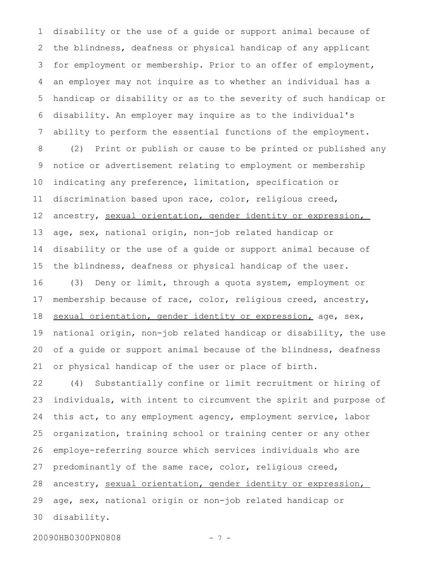disability or the use of a guide or support animal because of the blindness, deafness or physical handicap of any applicant for employment or membership. Prior to an offer of employment, an employer may not inquire as to whether an individual has a handicap or disability or as to the severity of such handicap or disability. An employer may inquire as to the individual's ability to perform the essential functions of the employment. (2) Print or publish or cause to be printed or published any notice or advertisement relating to employment or membership indicating any preference, limitation, specification or discrimination based upon race, color, religious creed, ancestry, sexual orientation, gender identity or expression, age, sex, national origin, non-job related handicap or disability or the use of a guide or support animal because of the blindness, deafness or physical handicap of the user. (3) Deny or limit, through a quota system, employment or membership because of race, color, religious creed, ancestry, sexual orientation, gender identity or expression, age, sex, national origin, non-job related handicap or disability, the use of a guide or support animal because of the blindness, deafness or physical handicap of the user or place of birth. 1 2 3 4 5 6 7 8 9 10 11 12 13 14 15 16 17 18 19 20 21

(4) Substantially confine or limit recruitment or hiring of individuals, with intent to circumvent the spirit and purpose of this act, to any employment agency, employment service, labor organization, training school or training center or any other employe-referring source which services individuals who are predominantly of the same race, color, religious creed, ancestry, sexual orientation, gender identity or expression, age, sex, national origin or non-job related handicap or disability. 22 23 24 25 26 27 28 29 30

20090HB0300PN0808 - 7 -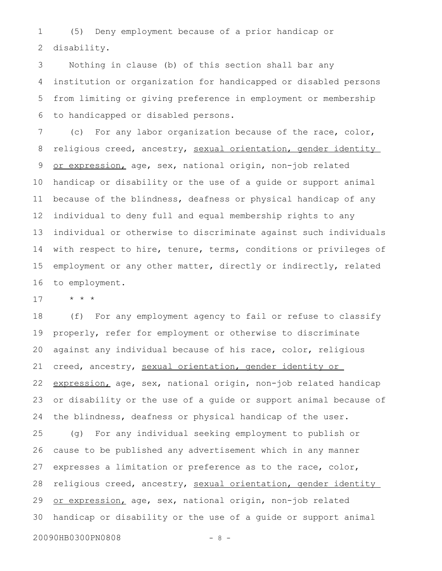(5) Deny employment because of a prior handicap or disability. 1 2

Nothing in clause (b) of this section shall bar any institution or organization for handicapped or disabled persons from limiting or giving preference in employment or membership to handicapped or disabled persons. 3 4 5 6

(c) For any labor organization because of the race, color, religious creed, ancestry, sexual orientation, gender identity or expression, age, sex, national origin, non-job related handicap or disability or the use of a guide or support animal because of the blindness, deafness or physical handicap of any individual to deny full and equal membership rights to any individual or otherwise to discriminate against such individuals with respect to hire, tenure, terms, conditions or privileges of employment or any other matter, directly or indirectly, related to employment. 7 8 9 10 11 12 13 14 15 16

\* \* \* 17

(f) For any employment agency to fail or refuse to classify properly, refer for employment or otherwise to discriminate against any individual because of his race, color, religious creed, ancestry, sexual orientation, gender identity or expression, age, sex, national origin, non-job related handicap or disability or the use of a guide or support animal because of the blindness, deafness or physical handicap of the user. (g) For any individual seeking employment to publish or cause to be published any advertisement which in any manner expresses a limitation or preference as to the race, color, religious creed, ancestry, sexual orientation, gender identity or expression, age, sex, national origin, non-job related handicap or disability or the use of a guide or support animal 18 19 20 21 22 23 24 25 26 27 28 29 30

20090HB0300PN0808 - 8 -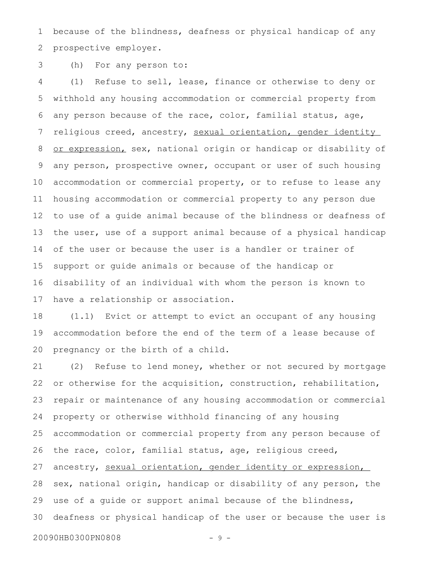because of the blindness, deafness or physical handicap of any prospective employer. 1 2

(h) For any person to: 3

(1) Refuse to sell, lease, finance or otherwise to deny or withhold any housing accommodation or commercial property from any person because of the race, color, familial status, age, religious creed, ancestry, sexual orientation, gender identity or expression, sex, national origin or handicap or disability of any person, prospective owner, occupant or user of such housing accommodation or commercial property, or to refuse to lease any housing accommodation or commercial property to any person due to use of a guide animal because of the blindness or deafness of the user, use of a support animal because of a physical handicap of the user or because the user is a handler or trainer of support or guide animals or because of the handicap or disability of an individual with whom the person is known to have a relationship or association. 4 5 6 7 8 9 10 11 12 13 14 15 16 17

(1.1) Evict or attempt to evict an occupant of any housing accommodation before the end of the term of a lease because of pregnancy or the birth of a child. 18 19 20

(2) Refuse to lend money, whether or not secured by mortgage or otherwise for the acquisition, construction, rehabilitation, repair or maintenance of any housing accommodation or commercial property or otherwise withhold financing of any housing accommodation or commercial property from any person because of the race, color, familial status, age, religious creed, ancestry, sexual orientation, gender identity or expression, sex, national origin, handicap or disability of any person, the use of a guide or support animal because of the blindness, deafness or physical handicap of the user or because the user is 21 22 23 24 25 26 27 28 29 30

20090HB0300PN0808 - 9 -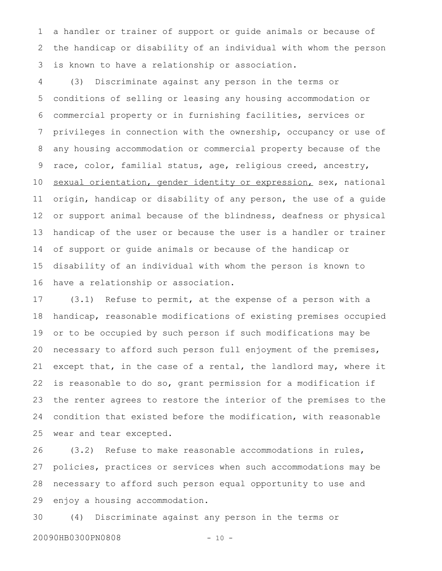a handler or trainer of support or guide animals or because of the handicap or disability of an individual with whom the person is known to have a relationship or association. 1 2 3

(3) Discriminate against any person in the terms or conditions of selling or leasing any housing accommodation or commercial property or in furnishing facilities, services or privileges in connection with the ownership, occupancy or use of any housing accommodation or commercial property because of the race, color, familial status, age, religious creed, ancestry, sexual orientation, gender identity or expression, sex, national origin, handicap or disability of any person, the use of a guide or support animal because of the blindness, deafness or physical handicap of the user or because the user is a handler or trainer of support or guide animals or because of the handicap or disability of an individual with whom the person is known to have a relationship or association. 4 5 6 7 8 9 10 11 12 13 14 15 16

(3.1) Refuse to permit, at the expense of a person with a handicap, reasonable modifications of existing premises occupied or to be occupied by such person if such modifications may be necessary to afford such person full enjoyment of the premises, except that, in the case of a rental, the landlord may, where it is reasonable to do so, grant permission for a modification if the renter agrees to restore the interior of the premises to the condition that existed before the modification, with reasonable wear and tear excepted. 17 18 19 20 21 22 23 24 25

(3.2) Refuse to make reasonable accommodations in rules, policies, practices or services when such accommodations may be necessary to afford such person equal opportunity to use and enjoy a housing accommodation. 26 27 28 29

(4) Discriminate against any person in the terms or 20090HB0300PN0808 - 10 -30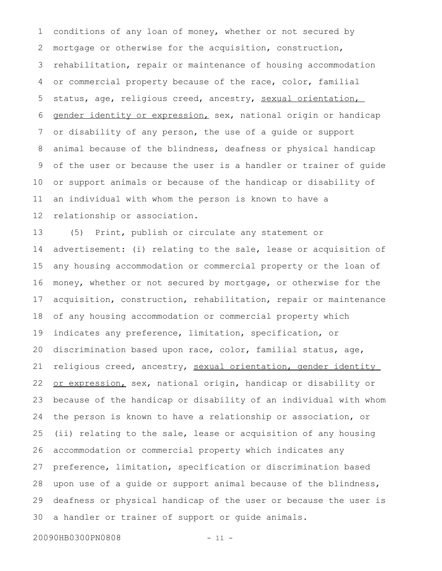conditions of any loan of money, whether or not secured by mortgage or otherwise for the acquisition, construction, rehabilitation, repair or maintenance of housing accommodation or commercial property because of the race, color, familial status, age, religious creed, ancestry, sexual orientation, gender identity or expression, sex, national origin or handicap or disability of any person, the use of a guide or support animal because of the blindness, deafness or physical handicap of the user or because the user is a handler or trainer of guide or support animals or because of the handicap or disability of an individual with whom the person is known to have a relationship or association. 1 2 3 4 5 6 7 8 9 10 11 12

(5) Print, publish or circulate any statement or advertisement: (i) relating to the sale, lease or acquisition of any housing accommodation or commercial property or the loan of money, whether or not secured by mortgage, or otherwise for the acquisition, construction, rehabilitation, repair or maintenance of any housing accommodation or commercial property which indicates any preference, limitation, specification, or discrimination based upon race, color, familial status, age, religious creed, ancestry, sexual orientation, gender identity or expression, sex, national origin, handicap or disability or because of the handicap or disability of an individual with whom the person is known to have a relationship or association, or (ii) relating to the sale, lease or acquisition of any housing accommodation or commercial property which indicates any preference, limitation, specification or discrimination based upon use of a guide or support animal because of the blindness, deafness or physical handicap of the user or because the user is a handler or trainer of support or guide animals. 13 14 15 16 17 18 19 20 21 22 23 24 25 26 27 28 29 30

20090HB0300PN0808 - 11 -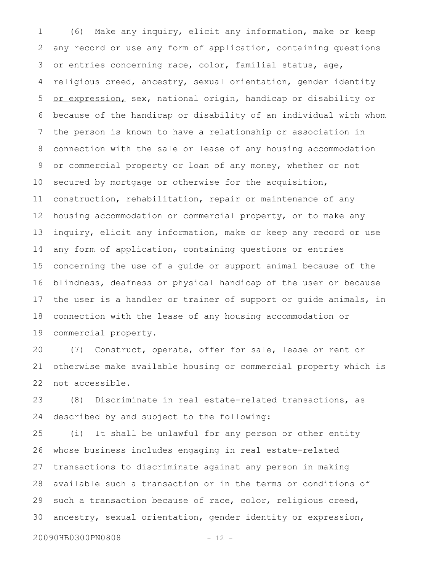(6) Make any inquiry, elicit any information, make or keep any record or use any form of application, containing questions or entries concerning race, color, familial status, age, religious creed, ancestry, sexual orientation, gender identity or expression, sex, national origin, handicap or disability or because of the handicap or disability of an individual with whom the person is known to have a relationship or association in connection with the sale or lease of any housing accommodation or commercial property or loan of any money, whether or not secured by mortgage or otherwise for the acquisition, construction, rehabilitation, repair or maintenance of any housing accommodation or commercial property, or to make any inquiry, elicit any information, make or keep any record or use any form of application, containing questions or entries concerning the use of a guide or support animal because of the blindness, deafness or physical handicap of the user or because the user is a handler or trainer of support or guide animals, in connection with the lease of any housing accommodation or commercial property. 1 2 3 4 5 6 7 8 9 10 11 12 13 14 15 16 17 18 19

(7) Construct, operate, offer for sale, lease or rent or otherwise make available housing or commercial property which is not accessible. 20 21 22

(8) Discriminate in real estate-related transactions, as described by and subject to the following: 23 24

(i) It shall be unlawful for any person or other entity whose business includes engaging in real estate-related transactions to discriminate against any person in making available such a transaction or in the terms or conditions of such a transaction because of race, color, religious creed, ancestry, sexual orientation, gender identity or expression, 25 26 27 28 29 30

20090HB0300PN0808 - 12 -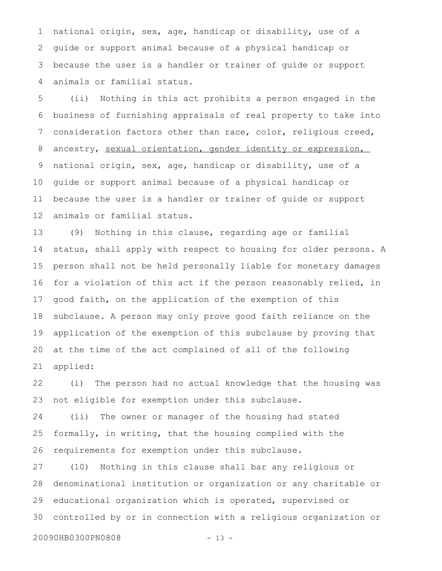national origin, sex, age, handicap or disability, use of a guide or support animal because of a physical handicap or because the user is a handler or trainer of guide or support animals or familial status. 1 2 3 4

(ii) Nothing in this act prohibits a person engaged in the business of furnishing appraisals of real property to take into consideration factors other than race, color, religious creed, ancestry, sexual orientation, gender identity or expression, national origin, sex, age, handicap or disability, use of a guide or support animal because of a physical handicap or because the user is a handler or trainer of guide or support animals or familial status. 5 6 7 8 9 10 11 12

(9) Nothing in this clause, regarding age or familial status, shall apply with respect to housing for older persons. A person shall not be held personally liable for monetary damages for a violation of this act if the person reasonably relied, in good faith, on the application of the exemption of this subclause. A person may only prove good faith reliance on the application of the exemption of this subclause by proving that at the time of the act complained of all of the following applied: 13 14 15 16 17 18 19 20 21

(i) The person had no actual knowledge that the housing was not eligible for exemption under this subclause. 22 23

(ii) The owner or manager of the housing had stated formally, in writing, that the housing complied with the requirements for exemption under this subclause. 24 25 26

(10) Nothing in this clause shall bar any religious or denominational institution or organization or any charitable or educational organization which is operated, supervised or controlled by or in connection with a religious organization or 27 28 29 30

20090HB0300PN0808 - 13 -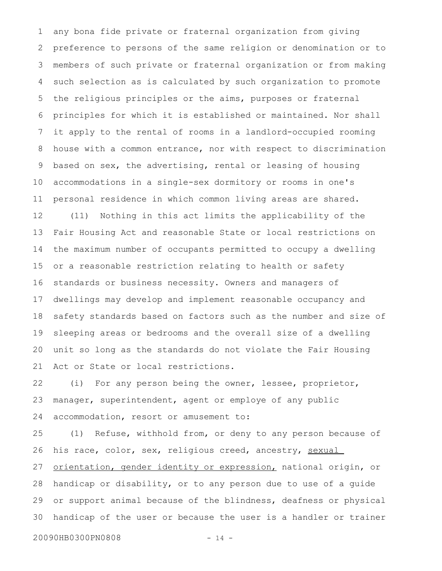any bona fide private or fraternal organization from giving preference to persons of the same religion or denomination or to members of such private or fraternal organization or from making such selection as is calculated by such organization to promote the religious principles or the aims, purposes or fraternal principles for which it is established or maintained. Nor shall it apply to the rental of rooms in a landlord-occupied rooming house with a common entrance, nor with respect to discrimination based on sex, the advertising, rental or leasing of housing accommodations in a single-sex dormitory or rooms in one's personal residence in which common living areas are shared. (11) Nothing in this act limits the applicability of the Fair Housing Act and reasonable State or local restrictions on the maximum number of occupants permitted to occupy a dwelling or a reasonable restriction relating to health or safety standards or business necessity. Owners and managers of dwellings may develop and implement reasonable occupancy and safety standards based on factors such as the number and size of sleeping areas or bedrooms and the overall size of a dwelling unit so long as the standards do not violate the Fair Housing Act or State or local restrictions. 1 2 3 4 5 6 7 8 9 10 11 12 13 14 15 16 17 18 19 20 21

(i) For any person being the owner, lessee, proprietor, manager, superintendent, agent or employe of any public accommodation, resort or amusement to: 22 23 24

(1) Refuse, withhold from, or deny to any person because of his race, color, sex, religious creed, ancestry, sexual orientation, gender identity or expression, national origin, or handicap or disability, or to any person due to use of a guide or support animal because of the blindness, deafness or physical handicap of the user or because the user is a handler or trainer 25 26 27 28 29 30

20090HB0300PN0808 - 14 -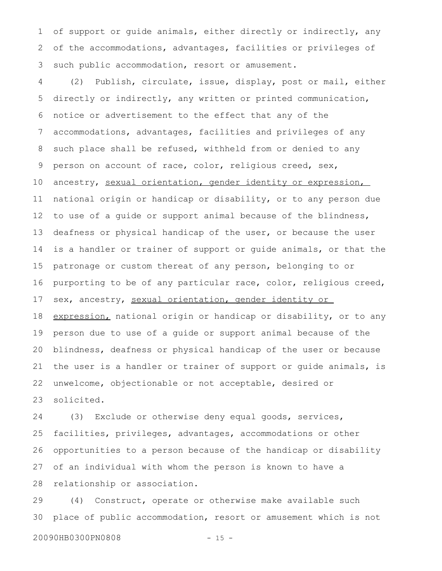of support or guide animals, either directly or indirectly, any of the accommodations, advantages, facilities or privileges of such public accommodation, resort or amusement. 1 2 3

(2) Publish, circulate, issue, display, post or mail, either directly or indirectly, any written or printed communication, notice or advertisement to the effect that any of the accommodations, advantages, facilities and privileges of any such place shall be refused, withheld from or denied to any person on account of race, color, religious creed, sex, ancestry, sexual orientation, gender identity or expression, national origin or handicap or disability, or to any person due to use of a guide or support animal because of the blindness, deafness or physical handicap of the user, or because the user is a handler or trainer of support or guide animals, or that the patronage or custom thereat of any person, belonging to or purporting to be of any particular race, color, religious creed, sex, ancestry, sexual orientation, gender identity or expression, national origin or handicap or disability, or to any person due to use of a guide or support animal because of the blindness, deafness or physical handicap of the user or because the user is a handler or trainer of support or guide animals, is unwelcome, objectionable or not acceptable, desired or solicited. 4 5 6 7 8 9 10 11 12 13 14 15 16 17 18 19 20 21 22 23

(3) Exclude or otherwise deny equal goods, services, facilities, privileges, advantages, accommodations or other opportunities to a person because of the handicap or disability of an individual with whom the person is known to have a relationship or association. 24 25 26 27 28

(4) Construct, operate or otherwise make available such place of public accommodation, resort or amusement which is not 29 30

20090HB0300PN0808 - 15 -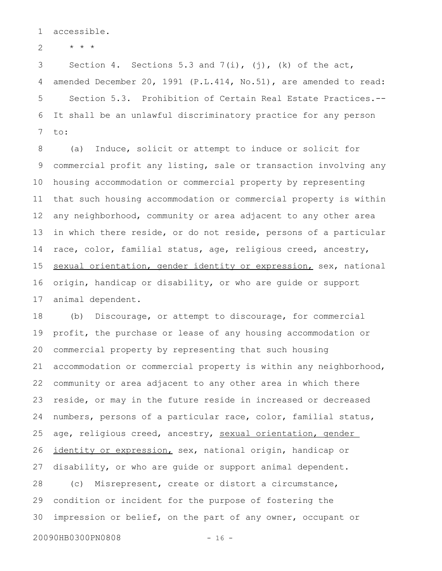accessible. 1

\* \* \* 2

Section 4. Sections 5.3 and  $7(i)$ ,  $(j)$ ,  $(k)$  of the act, amended December 20, 1991 (P.L.414, No.51), are amended to read: Section 5.3. Prohibition of Certain Real Estate Practices.-- It shall be an unlawful discriminatory practice for any person to: 3 4 5 6 7

(a) Induce, solicit or attempt to induce or solicit for commercial profit any listing, sale or transaction involving any housing accommodation or commercial property by representing that such housing accommodation or commercial property is within any neighborhood, community or area adjacent to any other area in which there reside, or do not reside, persons of a particular race, color, familial status, age, religious creed, ancestry, sexual orientation, gender identity or expression, sex, national origin, handicap or disability, or who are guide or support animal dependent. 8 9 10 11 12 13 14 15 16 17

(b) Discourage, or attempt to discourage, for commercial profit, the purchase or lease of any housing accommodation or commercial property by representing that such housing accommodation or commercial property is within any neighborhood, community or area adjacent to any other area in which there reside, or may in the future reside in increased or decreased numbers, persons of a particular race, color, familial status, age, religious creed, ancestry, sexual orientation, gender identity or expression, sex, national origin, handicap or disability, or who are guide or support animal dependent. (c) Misrepresent, create or distort a circumstance, condition or incident for the purpose of fostering the impression or belief, on the part of any owner, occupant or 18 19 20 21 22 23 24 25 26 27 28 29 30

20090HB0300PN0808 - 16 -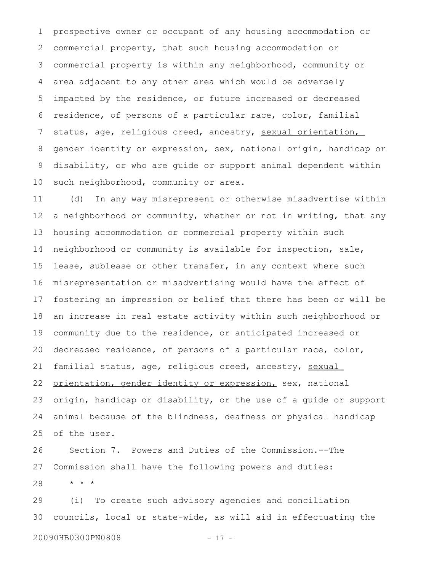prospective owner or occupant of any housing accommodation or commercial property, that such housing accommodation or commercial property is within any neighborhood, community or area adjacent to any other area which would be adversely impacted by the residence, or future increased or decreased residence, of persons of a particular race, color, familial status, age, religious creed, ancestry, sexual orientation, gender identity or expression, sex, national origin, handicap or disability, or who are guide or support animal dependent within such neighborhood, community or area. 1 2 3 4 5 6 7 8 9 10

(d) In any way misrepresent or otherwise misadvertise within a neighborhood or community, whether or not in writing, that any housing accommodation or commercial property within such neighborhood or community is available for inspection, sale, lease, sublease or other transfer, in any context where such misrepresentation or misadvertising would have the effect of fostering an impression or belief that there has been or will be an increase in real estate activity within such neighborhood or community due to the residence, or anticipated increased or decreased residence, of persons of a particular race, color, familial status, age, religious creed, ancestry, sexual orientation, gender identity or expression, sex, national origin, handicap or disability, or the use of a guide or support animal because of the blindness, deafness or physical handicap of the user. 11 12 13 14 15 16 17 18 19 20 21 22 23 24 25

Section 7. Powers and Duties of the Commission.--The Commission shall have the following powers and duties: \* \* \* 26 27 28

(i) To create such advisory agencies and conciliation councils, local or state-wide, as will aid in effectuating the 29 30

20090HB0300PN0808 - 17 -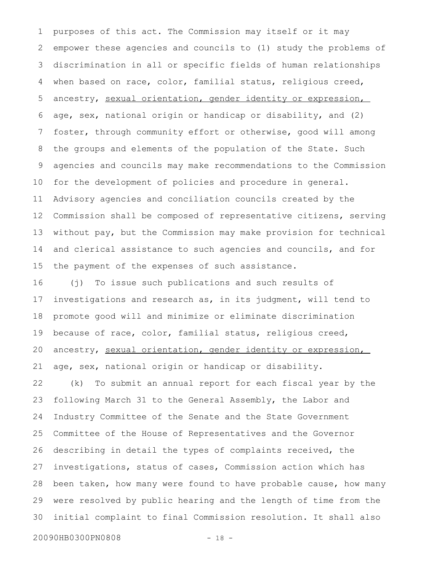purposes of this act. The Commission may itself or it may empower these agencies and councils to (1) study the problems of discrimination in all or specific fields of human relationships when based on race, color, familial status, religious creed, ancestry, sexual orientation, gender identity or expression, age, sex, national origin or handicap or disability, and (2) foster, through community effort or otherwise, good will among the groups and elements of the population of the State. Such agencies and councils may make recommendations to the Commission for the development of policies and procedure in general. Advisory agencies and conciliation councils created by the Commission shall be composed of representative citizens, serving without pay, but the Commission may make provision for technical and clerical assistance to such agencies and councils, and for the payment of the expenses of such assistance. 1 2 3 4 5 6 7 8 9 10 11 12 13 14 15

(j) To issue such publications and such results of investigations and research as, in its judgment, will tend to promote good will and minimize or eliminate discrimination because of race, color, familial status, religious creed, ancestry, sexual orientation, gender identity or expression, age, sex, national origin or handicap or disability. 16 17 18 19 20 21

(k) To submit an annual report for each fiscal year by the following March 31 to the General Assembly, the Labor and Industry Committee of the Senate and the State Government Committee of the House of Representatives and the Governor describing in detail the types of complaints received, the investigations, status of cases, Commission action which has been taken, how many were found to have probable cause, how many were resolved by public hearing and the length of time from the initial complaint to final Commission resolution. It shall also 22 23 24 25 26 27 28 29 30

20090HB0300PN0808 - 18 -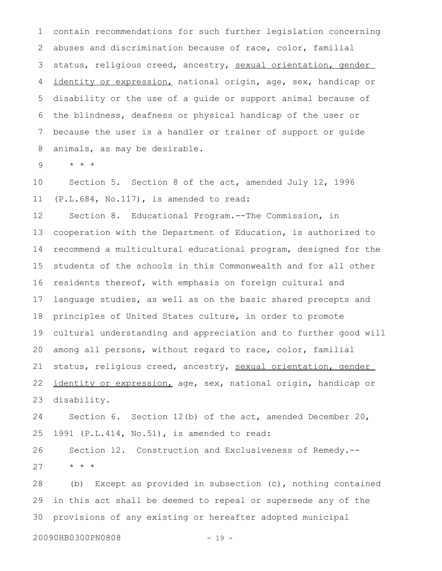contain recommendations for such further legislation concerning abuses and discrimination because of race, color, familial status, religious creed, ancestry, sexual orientation, gender identity or expression, national origin, age, sex, handicap or disability or the use of a guide or support animal because of the blindness, deafness or physical handicap of the user or because the user is a handler or trainer of support or guide animals, as may be desirable. 1 2 3 4 5 6 7 8

\* \* \* 9

Section 5. Section 8 of the act, amended July 12, 1996 (P.L.684, No.117), is amended to read: 10 11

Section 8. Educational Program.--The Commission, in cooperation with the Department of Education, is authorized to recommend a multicultural educational program, designed for the students of the schools in this Commonwealth and for all other residents thereof, with emphasis on foreign cultural and language studies, as well as on the basic shared precepts and principles of United States culture, in order to promote cultural understanding and appreciation and to further good will among all persons, without regard to race, color, familial status, religious creed, ancestry, sexual orientation, gender identity or expression, age, sex, national origin, handicap or disability. 12 13 14 15 16 17 18 19 20 21 22 23

Section 6. Section 12(b) of the act, amended December 20, 1991 (P.L.414, No.51), is amended to read: 24 25

Section 12. Construction and Exclusiveness of Remedy.-- \* \* \* 26 27

(b) Except as provided in subsection (c), nothing contained in this act shall be deemed to repeal or supersede any of the provisions of any existing or hereafter adopted municipal 28 29 30

20090HB0300PN0808 - 19 -